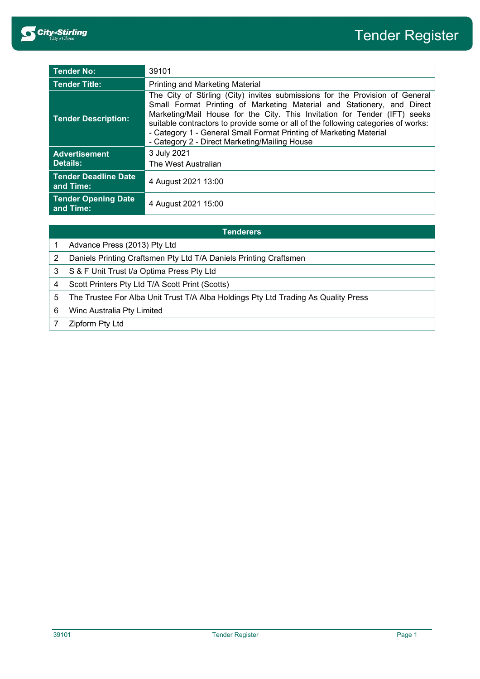| <b>Tender No:</b>                        | 39101                                                                                                                                                                                                                                                                                                                                                                                                                                           |  |
|------------------------------------------|-------------------------------------------------------------------------------------------------------------------------------------------------------------------------------------------------------------------------------------------------------------------------------------------------------------------------------------------------------------------------------------------------------------------------------------------------|--|
| Tender Title:                            | <b>Printing and Marketing Material</b>                                                                                                                                                                                                                                                                                                                                                                                                          |  |
| <b>Tender Description:</b>               | The City of Stirling (City) invites submissions for the Provision of General<br>Small Format Printing of Marketing Material and Stationery, and Direct<br>Marketing/Mail House for the City. This Invitation for Tender (IFT) seeks<br>suitable contractors to provide some or all of the following categories of works:<br>- Category 1 - General Small Format Printing of Marketing Material<br>- Category 2 - Direct Marketing/Mailing House |  |
| <b>Advertisement</b><br>Details:         | 3 July 2021<br>The West Australian                                                                                                                                                                                                                                                                                                                                                                                                              |  |
| <b>Tender Deadline Date</b><br>and Time: | 4 August 2021 13:00                                                                                                                                                                                                                                                                                                                                                                                                                             |  |
| <b>Tender Opening Date</b><br>and Time:  | 4 August 2021 15:00                                                                                                                                                                                                                                                                                                                                                                                                                             |  |

| <b>Tenderers</b> |                                                                                    |  |
|------------------|------------------------------------------------------------------------------------|--|
|                  | Advance Press (2013) Pty Ltd                                                       |  |
| 2                | Daniels Printing Craftsmen Pty Ltd T/A Daniels Printing Craftsmen                  |  |
| 3                | S & F Unit Trust t/a Optima Press Pty Ltd                                          |  |
| 4                | Scott Printers Pty Ltd T/A Scott Print (Scotts)                                    |  |
| 5                | The Trustee For Alba Unit Trust T/A Alba Holdings Pty Ltd Trading As Quality Press |  |
| 6                | Winc Australia Pty Limited                                                         |  |
|                  | Zipform Pty Ltd                                                                    |  |